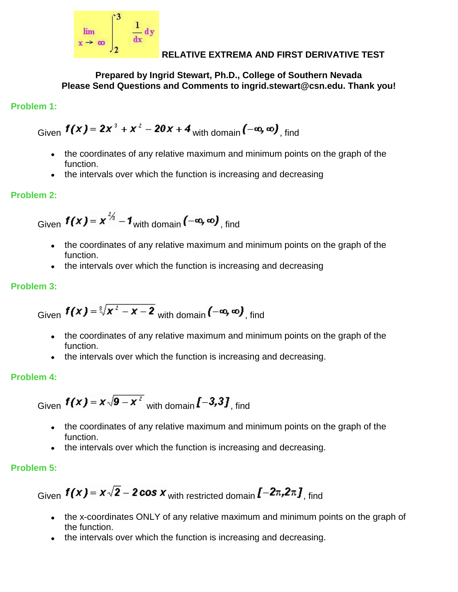

## **RELATIVE EXTREMA AND FIRST DERIVATIVE TEST**

**Prepared by Ingrid Stewart, Ph.D., College of Southern Nevada Please Send Questions and Comments to ingrid.stewart@csn.edu. Thank you!**

# **Problem 1:**

Given  $f(x) = 2x^3 + x^2 - 20x + 4$  with domain  $(-\infty, \infty)$ , find

- the coordinates of any relative maximum and minimum points on the graph of the function.
- the intervals over which the function is increasing and decreasing

# **Problem 2:**

Given  $f(x) = x^{2/3} - 1$  with domain  $(-\infty, \infty)$  find

- the coordinates of any relative maximum and minimum points on the graph of the function.
- the intervals over which the function is increasing and decreasing

## **Problem 3:**

Given 
$$
f(x) = \sqrt[3]{x^2 - x - 2}
$$
 with domain  $(-\infty, \infty)$ , find

- the coordinates of any relative maximum and minimum points on the graph of the function.
- the intervals over which the function is increasing and decreasing.

#### **Problem 4:**

Given  $f(x) = x\sqrt{9-x^2}$  with domain  $\mathbf{f}$  – 3,3], find

- the coordinates of any relative maximum and minimum points on the graph of the function.
- the intervals over which the function is increasing and decreasing.

# **Problem 5:**

Given  $f(x) = x\sqrt{2} - 2\cos x$  with restricted domain  $[-2\pi, 2\pi, \sin\theta]$ , find

- the x-coordinates ONLY of any relative maximum and minimum points on the graph of the function.
- the intervals over which the function is increasing and decreasing.